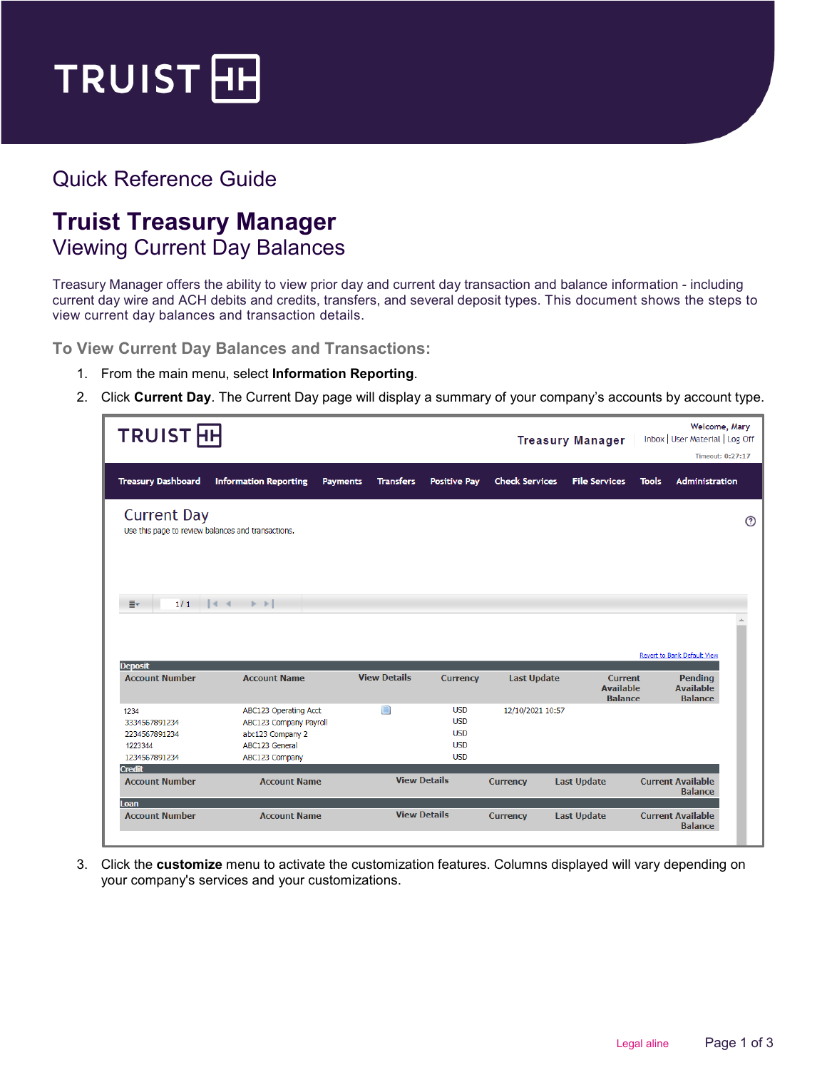

## Quick Reference Guide

## **Truist Treasury Manager** Viewing Current Day Balances

Treasury Manager offers the ability to view prior day and current day transaction and balance information - including current day wire and ACH debits and credits, transfers, and several deposit types. This document shows the steps to view current day balances and transaction details.

**To View Current Day Balances and Transactions:**

- 1. From the main menu, select **Information Reporting**.
- 2. Click **Current Day**. The Current Day page will display a summary of your company's accounts by account type.

| TRUIST <sub>H</sub>                                                                                          |                                                                                                         |                                     |                                                                    |                       | <b>Treasury Manager</b>                              |              | Welcome, Mary<br>Inbox   User Material   Log Off |             |
|--------------------------------------------------------------------------------------------------------------|---------------------------------------------------------------------------------------------------------|-------------------------------------|--------------------------------------------------------------------|-----------------------|------------------------------------------------------|--------------|--------------------------------------------------|-------------|
|                                                                                                              |                                                                                                         |                                     |                                                                    |                       |                                                      |              | Timeout: 0:27:17                                 |             |
| <b>Treasury Dashboard</b>                                                                                    | <b>Information Reporting</b>                                                                            | <b>Transfers</b><br><b>Payments</b> | <b>Positive Pay</b>                                                | <b>Check Services</b> | <b>File Services</b>                                 | <b>Tools</b> | <b>Administration</b>                            |             |
| <b>Current Day</b><br>Use this page to review balances and transactions.<br>1/1<br>$\equiv$<br>$\vert \vert$ | $\triangleright$ $\triangleright$                                                                       |                                     |                                                                    |                       |                                                      |              |                                                  | $\circledR$ |
| <b>Deposit</b>                                                                                               |                                                                                                         |                                     |                                                                    |                       |                                                      |              | Revert to Bank Default View                      |             |
| <b>Account Number</b>                                                                                        | <b>Account Name</b>                                                                                     | <b>View Details</b>                 | <b>Currency</b>                                                    | <b>Last Update</b>    | <b>Current</b><br><b>Available</b><br><b>Balance</b> |              | Pending<br><b>Available</b><br><b>Balance</b>    |             |
| 1234<br>3334567891234<br>2234567891234<br>1223344<br>1234567891234                                           | ABC123 Operating Acct<br>ABC123 Company Payroll<br>abc123 Company 2<br>ABC123 General<br>ABC123 Company | $\blacksquare$                      | <b>USD</b><br><b>USD</b><br><b>USD</b><br><b>USD</b><br><b>USD</b> | 12/10/2021 10:57      |                                                      |              |                                                  |             |
| <b>Credit</b><br><b>Account Number</b>                                                                       | <b>Account Name</b>                                                                                     |                                     | <b>View Details</b>                                                | <b>Currency</b>       | <b>Last Update</b>                                   |              | <b>Current Available</b><br><b>Balance</b>       |             |
| Loan<br><b>Account Number</b>                                                                                | <b>Account Name</b>                                                                                     |                                     | <b>View Details</b>                                                | <b>Currency</b>       | <b>Last Update</b>                                   |              | <b>Current Available</b><br><b>Balance</b>       |             |

3. Click the **customize** menu to activate the customization features. Columns displayed will vary depending on your company's services and your customizations.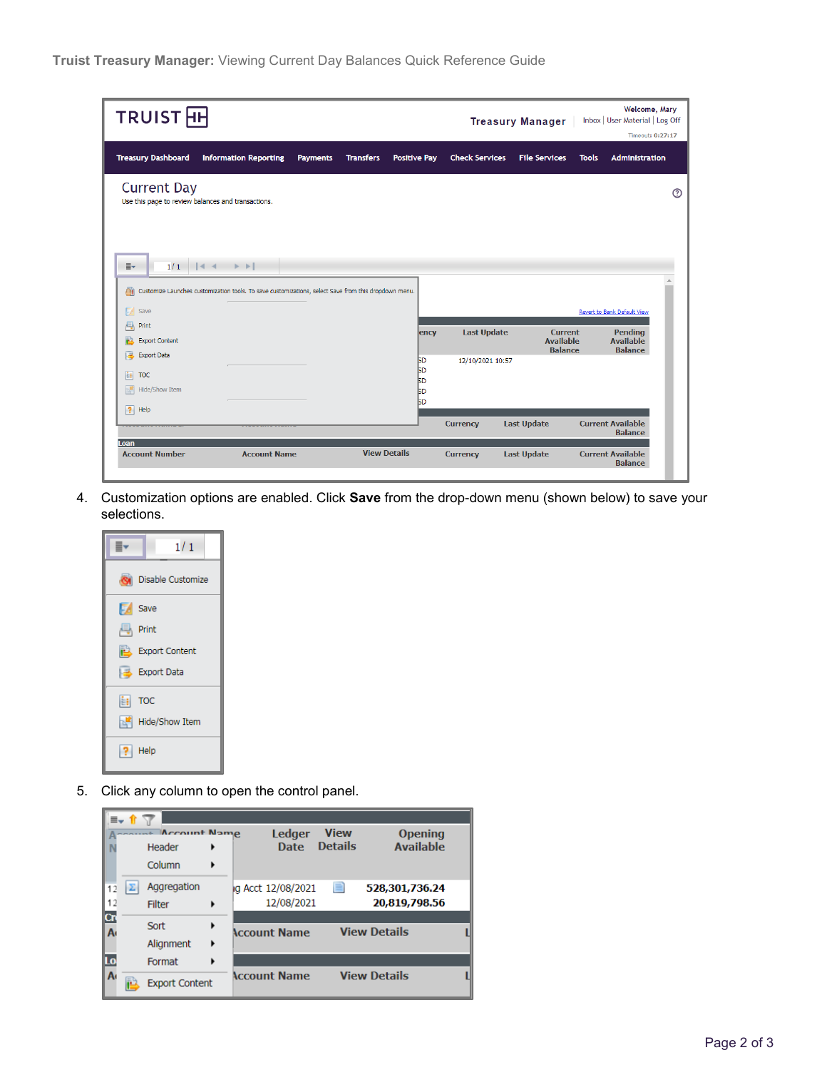| <b>TRUIST HH</b>                                                                                                                                                      |                     |                     |                                                               |                       | <b>Treasury Manager</b>                              |              | Welcome, Mary<br>Inbox   User Material   Log Off<br>Timeout: 0:27:17 |  |
|-----------------------------------------------------------------------------------------------------------------------------------------------------------------------|---------------------|---------------------|---------------------------------------------------------------|-----------------------|------------------------------------------------------|--------------|----------------------------------------------------------------------|--|
| <b>Treasury Dashboard</b><br><b>Information Reporting</b>                                                                                                             | <b>Payments</b>     | <b>Transfers</b>    | <b>Positive Pay</b>                                           | <b>Check Services</b> | <b>File Services</b>                                 | <b>Tools</b> | <b>Administration</b>                                                |  |
| <b>Current Day</b><br>Use this page to review balances and transactions.                                                                                              |                     |                     |                                                               |                       |                                                      |              |                                                                      |  |
| 1/1<br>$\vert \vert$ d<br> a <br><b>E</b><br>Customize Launches customization tools. To save customizations, select Save from this dropdown menu.<br>di)<br>夙<br>Save |                     |                     |                                                               |                       |                                                      |              | Revert to Bank Default View                                          |  |
| 롱<br>Print<br><b>Export Content</b><br>ß                                                                                                                              |                     |                     | ency                                                          | <b>Last Update</b>    | <b>Current</b><br><b>Available</b><br><b>Balance</b> |              | <b>Pending</b><br><b>Available</b><br><b>Balance</b>                 |  |
| <b>Export Data</b><br>區<br>E.<br><b>TOC</b><br>$\mathbb{R}^2$<br>Hide/Show Item                                                                                       |                     |                     | <b>SD</b><br><b>BD</b><br><b>SD</b><br><b>SD</b><br><b>BD</b> | 12/10/2021 10:57      |                                                      |              |                                                                      |  |
| $\overline{?}$<br>Help                                                                                                                                                |                     |                     |                                                               | <b>Currency</b>       | <b>Last Update</b>                                   |              | <b>Current Available</b><br><b>Balance</b>                           |  |
| I oan<br><b>Account Number</b>                                                                                                                                        | <b>Account Name</b> | <b>View Details</b> |                                                               | <b>Currency</b>       | <b>Last Update</b>                                   |              | <b>Current Available</b><br><b>Balance</b>                           |  |

4. Customization options are enabled. Click **Save** from the drop-down menu (shown below) to save your selections.



5. Click any column to open the control panel.

|                | ≣– 1Ր |                       |   |                                                   |  |
|----------------|-------|-----------------------|---|---------------------------------------------------|--|
|                |       | Account Name          |   | Ledger<br><b>View</b><br><b>Opening</b>           |  |
|                |       | Header                |   | <b>Details</b><br><b>Available</b><br><b>Date</b> |  |
|                |       | Column                | ٠ |                                                   |  |
| 12             | Σ     | Aggregation           |   | ▤<br>ig Acct 12/08/2021<br>528,301,736,24         |  |
| 12             |       | <b>Filter</b>         | ٠ | 12/08/2021<br>20,819,798,56                       |  |
| Cn             |       | Sort                  | ٠ |                                                   |  |
| Ā              |       | Alignment             | ٠ | <b>View Details</b><br><b>Account Name</b>        |  |
| Lo             |       | Format                | ٠ |                                                   |  |
| A <sub>t</sub> |       | <b>Export Content</b> |   | <b>Account Name</b><br><b>View Details</b>        |  |